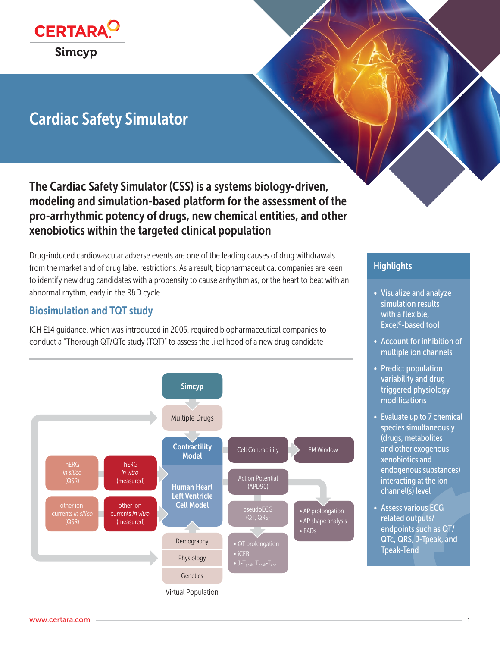

# Cardiac Safety Simulator

The Cardiac Safety Simulator (CSS) is a systems biology-driven, modeling and simulation-based platform for the assessment of the pro-arrhythmic potency of drugs, new chemical entities, and other xenobiotics within the targeted clinical population

Drug-induced cardiovascular adverse events are one of the leading causes of drug withdrawals from the market and of drug label restrictions. As a result, biopharmaceutical companies are keen to identify new drug candidates with a propensity to cause arrhythmias, or the heart to beat with an abnormal rhythm, early in the R&D cycle.

# Biosimulation and TQT study

ICH E14 guidance, which was introduced in 2005, required biopharmaceutical companies to conduct a "Thorough QT/QTc study (TQT)" to assess the likelihood of a new drug candidate



## **Highlights**

- Visualize and analyze simulation results with a flexible, Excel®-based tool
- Account for inhibition of multiple ion channels
- Predict population variability and drug triggered physiology modifications
- Evaluate up to 7 chemical species simultaneously (drugs, metabolites and other exogenous xenobiotics and endogenous substances) interacting at the ion channel(s) level
- Assess various ECG related outputs/ endpoints such as QT/ QTc, QRS, J-Tpeak, and Tpeak-Tend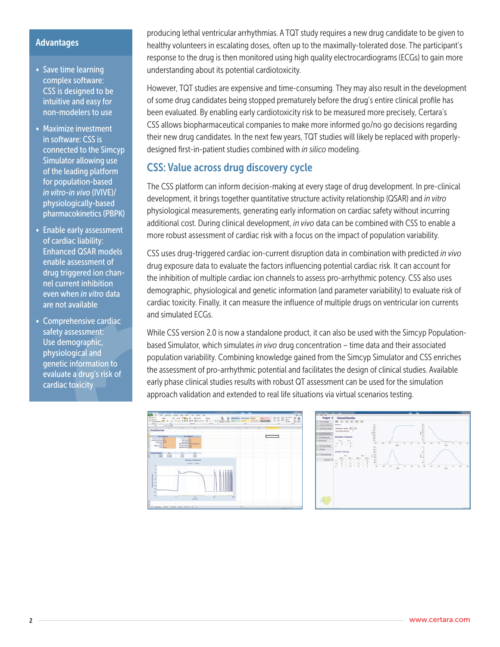### **Advantages**

- Save time learning complex software: CSS is designed to be intuitive and easy for non-modelers to use
- Maximize investment in software: CSS is connected to the Simcyp Simulator allowing use of the leading platform for population-based *in vitro-in vivo* (IVIVE)/ physiologically-based pharmacokinetics (PBPK)
- Enable early assessment of cardiac liability: Enhanced QSAR models enable assessment of drug triggered ion channel current inhibition even when *in vitro* data are not available
- Comprehensive cardiac safety assessment: Use demographic, physiological and genetic information to evaluate a drug's risk of cardiac toxicity

producing lethal ventricular arrhythmias. A TQT study requires a new drug candidate to be given to healthy volunteers in escalating doses, often up to the maximally-tolerated dose. The participant's response to the drug is then monitored using high quality electrocardiograms (ECGs) to gain more understanding about its potential cardiotoxicity.

However, TQT studies are expensive and time-consuming. They may also result in the development of some drug candidates being stopped prematurely before the drug's entire clinical profile has been evaluated. By enabling early cardiotoxicity risk to be measured more precisely, Certara's CSS allows biopharmaceutical companies to make more informed go/no go decisions regarding their new drug candidates. In the next few years, TQT studies will likely be replaced with properlydesigned first-in-patient studies combined with *in silico* modeling.

# CSS: Value across drug discovery cycle

The CSS platform can inform decision-making at every stage of drug development. In pre-clinical development, it brings together quantitative structure activity relationship (QSAR) and *in vitro* physiological measurements, generating early information on cardiac safety without incurring additional cost. During clinical development, *in vivo* data can be combined with CSS to enable a more robust assessment of cardiac risk with a focus on the impact of population variability.

CSS uses drug-triggered cardiac ion-current disruption data in combination with predicted *in vivo* drug exposure data to evaluate the factors influencing potential cardiac risk. It can account for the inhibition of multiple cardiac ion channels to assess pro-arrhythmic potency. CSS also uses demographic, physiological and genetic information (and parameter variability) to evaluate risk of cardiac toxicity. Finally, it can measure the influence of multiple drugs on ventricular ion currents and simulated ECGs.

While CSS version 2.0 is now a standalone product, it can also be used with the Simcyp Populationbased Simulator, which simulates *in vivo* drug concentration – time data and their associated population variability. Combining knowledge gained from the Simcyp Simulator and CSS enriches the assessment of pro-arrhythmic potential and facilitates the design of clinical studies. Available early phase clinical studies results with robust QT assessment can be used for the simulation approach validation and extended to real life situations via virtual scenarios testing.



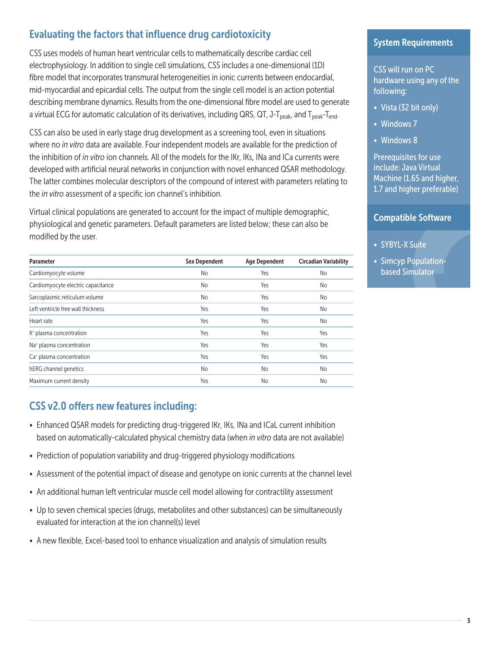# Evaluating the factors that influence drug cardiotoxicity

CSS uses models of human heart ventricular cells to mathematically describe cardiac cell electrophysiology. In addition to single cell simulations, CSS includes a one-dimensional (1D) fibre model that incorporates transmural heterogeneities in ionic currents between endocardial, mid-myocardial and epicardial cells. The output from the single cell model is an action potential describing membrane dynamics. Results from the one-dimensional fibre model are used to generate a virtual ECG for automatic calculation of its derivatives, including QRS, QT, J-T<sub>peak</sub>, and T<sub>peak</sub>-T<sub>end</sub>.

CSS can also be used in early stage drug development as a screening tool, even in situations where no *in vitro* data are available. Four independent models are available for the prediction of the inhibition of *in vitro* ion channels. All of the models for the IKr, IKs, INa and ICa currents were developed with artificial neural networks in conjunction with novel enhanced QSAR methodology. The latter combines molecular descriptors of the compound of interest with parameters relating to the *in vitro* assessment of a specific ion channel's inhibition.

Virtual clinical populations are generated to account for the impact of multiple demographic, physiological and genetic parameters. Default parameters are listed below; these can also be modified by the user.

| Parameter                            | <b>Sex Dependent</b> | <b>Age Dependent</b> | <b>Circadian Variability</b> |
|--------------------------------------|----------------------|----------------------|------------------------------|
| Cardiomyocyte volume                 | No                   | Yes                  | No                           |
| Cardiomyocyte electric capacitance   | No                   | Yes                  | No.                          |
| Sarcoplasmic reticulum volume        | <b>No</b>            | Yes                  | No                           |
| Left ventricle free wall thickness   | Yes                  | Yes                  | No.                          |
| Heart rate                           | Yes                  | Yes                  | No.                          |
| K <sup>+</sup> plasma concentration  | Yes                  | Yes                  | Yes                          |
| Na <sup>+</sup> plasma concentration | Yes                  | Yes                  | Yes                          |
| Ca <sup>+</sup> plasma concentration | Yes                  | Yes                  | Yes                          |
| hERG channel genetics                | <b>No</b>            | No                   | No.                          |
| Maximum current density              | Yes                  | No                   | No                           |

# CSS v2.0 offers new features including:

- Enhanced QSAR models for predicting drug-triggered IKr, IKs, INa and ICaL current inhibition based on automatically-calculated physical chemistry data (when *in vitro* data are not available)
- Prediction of population variability and drug-triggered physiology modifications
- Assessment of the potential impact of disease and genotype on ionic currents at the channel level
- An additional human left ventricular muscle cell model allowing for contractility assessment
- Up to seven chemical species (drugs, metabolites and other substances) can be simultaneously evaluated for interaction at the ion channel(s) level
- A new flexible, Excel-based tool to enhance visualization and analysis of simulation results

### System Requirements

CSS will run on PC hardware using any of the following:

- Vista (32 bit only)
- Windows 7
- Windows 8

Prerequisites for use include: Java Virtual Machine (1.65 and higher, 1.7 and higher preferable)

### Compatible Software

- SYBYL-X Suite
- Simcyp Populationbased Simulator